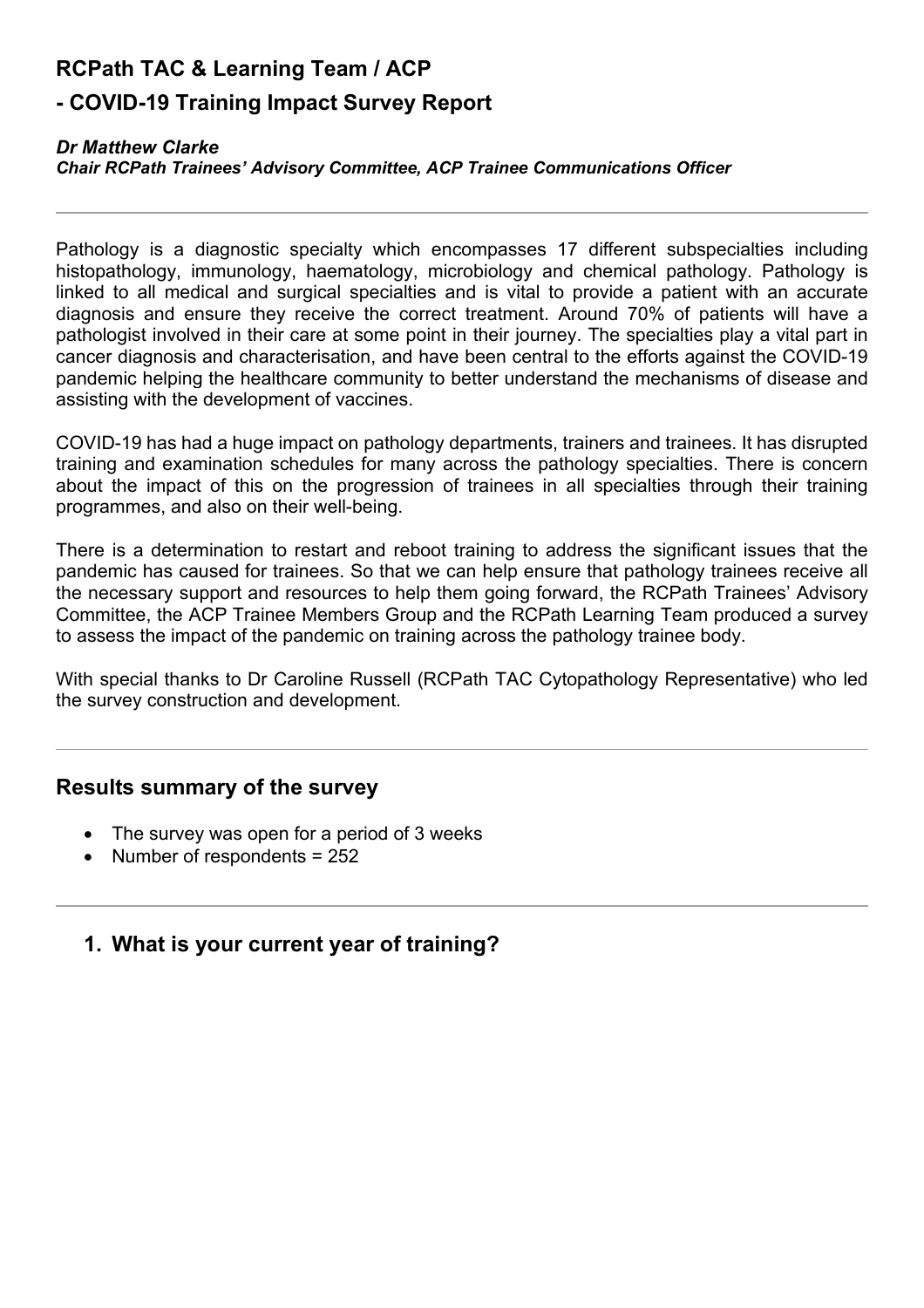# **RCPath TAC & Learning Team / ACP**

# **- COVID-19 Training Impact Survey Report**

#### *Dr Matthew Clarke*

#### *Chair RCPath Trainees' Advisory Committee, ACP Trainee Communications Officer*

Pathology is a diagnostic specialty which encompasses 17 different subspecialties including histopathology, immunology, haematology, microbiology and chemical pathology. Pathology is linked to all medical and surgical specialties and is vital to provide a patient with an accurate diagnosis and ensure they receive the correct treatment. Around 70% of patients will have a pathologist involved in their care at some point in their journey. The specialties play a vital part in cancer diagnosis and characterisation, and have been central to the efforts against the COVID-19 pandemic helping the healthcare community to better understand the mechanisms of disease and assisting with the development of vaccines.

COVID-19 has had a huge impact on pathology departments, trainers and trainees. It has disrupted training and examination schedules for many across the pathology specialties. There is concern about the impact of this on the progression of trainees in all specialties through their training programmes, and also on their well-being.

There is a determination to restart and reboot training to address the significant issues that the pandemic has caused for trainees. So that we can help ensure that pathology trainees receive all the necessary support and resources to help them going forward, the RCPath Trainees' Advisory Committee, the ACP Trainee Members Group and the RCPath Learning Team produced a survey to assess the impact of the pandemic on training across the pathology trainee body.

With special thanks to Dr Caroline Russell (RCPath TAC Cytopathology Representative) who led the survey construction and development.

# **Results summary of the survey**

- The survey was open for a period of 3 weeks
- Number of respondents = 252

# **1. What is your current year of training?**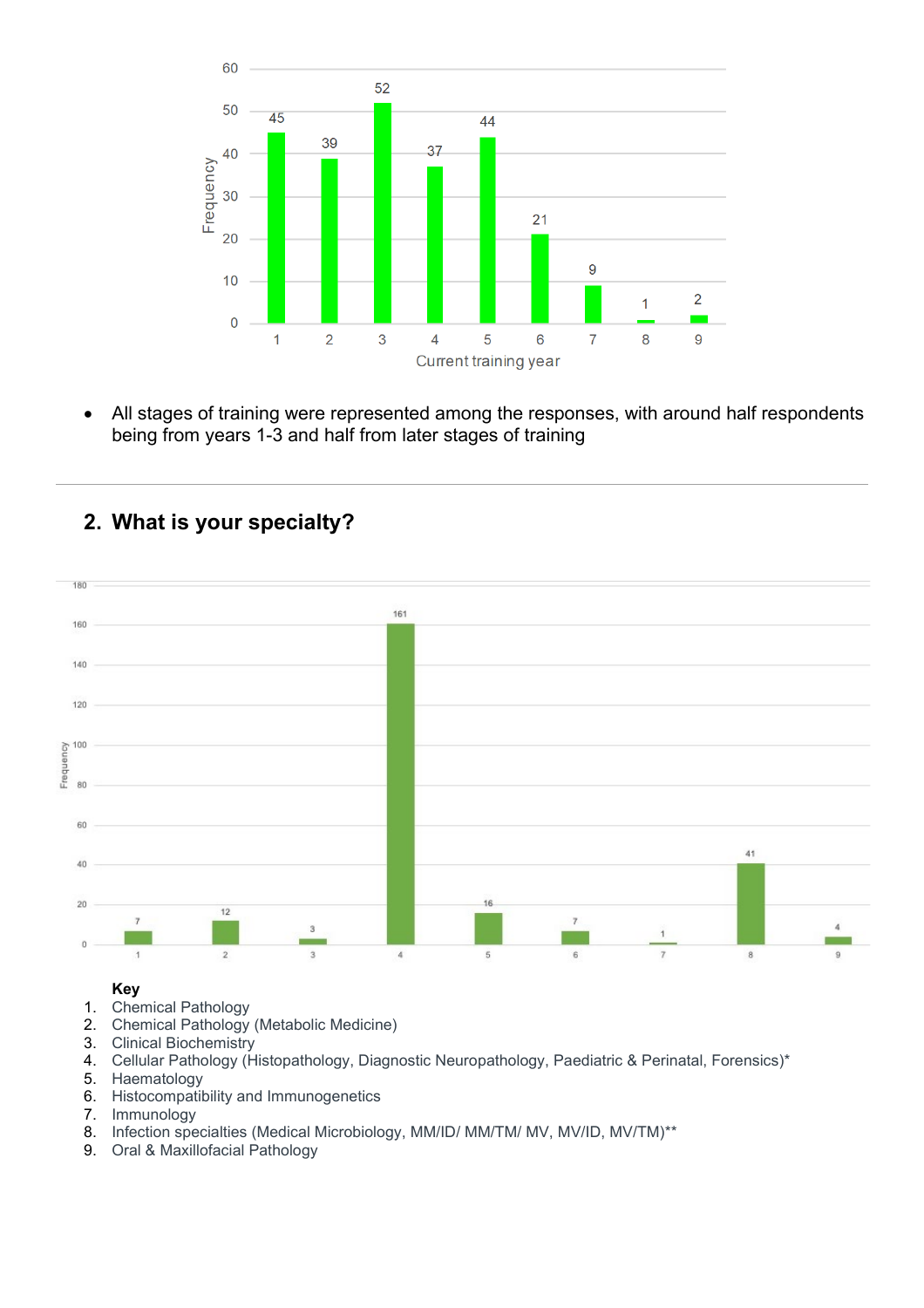

• All stages of training were represented among the responses, with around half respondents being from years 1-3 and half from later stages of training

# **2. What is your specialty?**



#### **Key**

- 1. Chemical Pathology
- 2. Chemical Pathology (Metabolic Medicine)
- 3. Clinical Biochemistry
- 4. Cellular Pathology (Histopathology, Diagnostic Neuropathology, Paediatric & Perinatal, Forensics)\*
- 5. Haematology
- 6. Histocompatibility and Immunogenetics
- 7. Immunology
- 8. Infection specialties (Medical Microbiology, MM/ID/ MM/TM/ MV, MV/ID, MV/TM)\*\*
- 9. Oral & Maxillofacial Pathology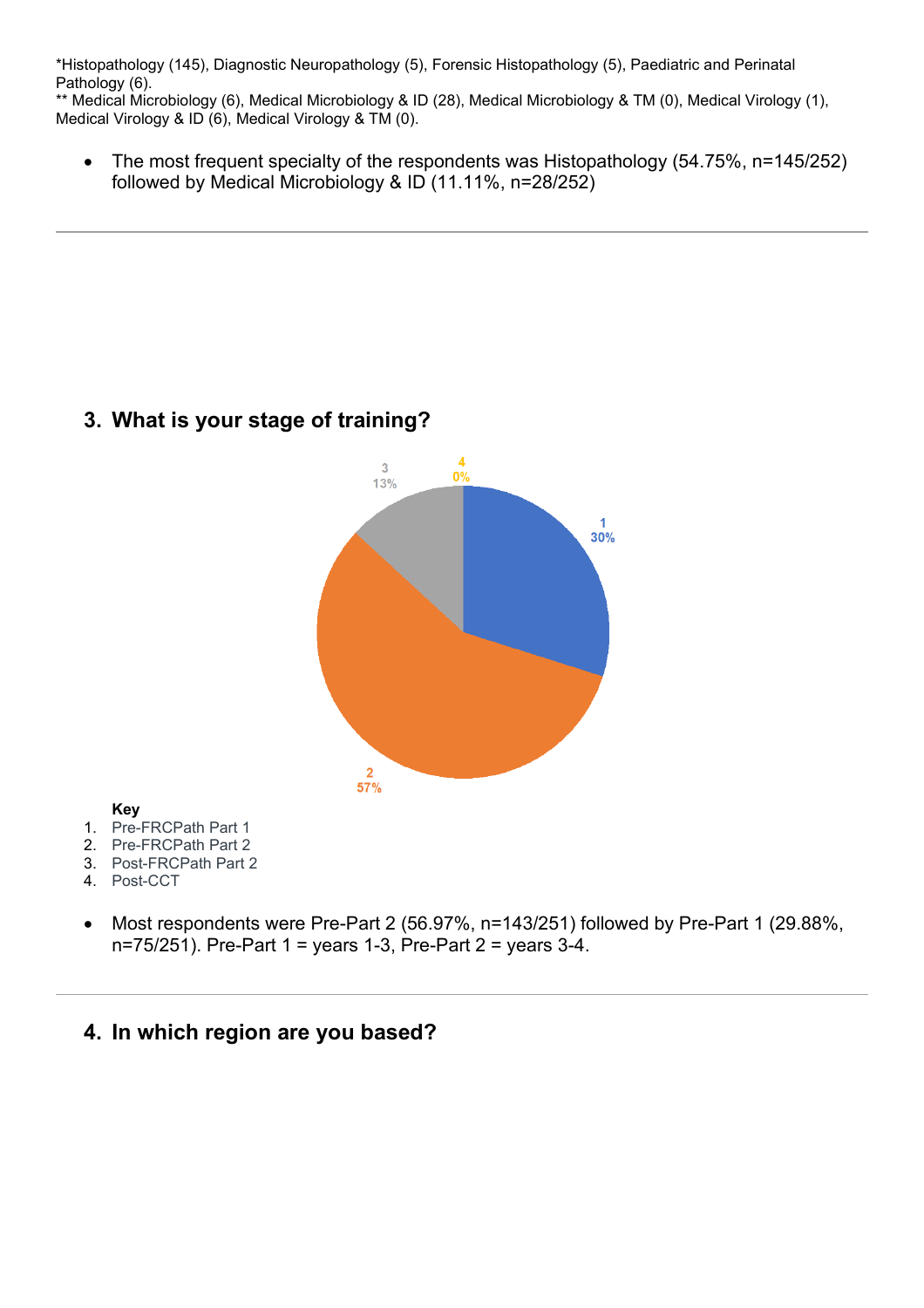\*Histopathology (145), Diagnostic Neuropathology (5), Forensic Histopathology (5), Paediatric and Perinatal Pathology (6).

\*\* Medical Microbiology (6), Medical Microbiology & ID (28), Medical Microbiology & TM (0), Medical Virology (1), Medical Virology & ID (6), Medical Virology & TM (0).

• The most frequent specialty of the respondents was Histopathology (54.75%, n=145/252) followed by Medical Microbiology & ID (11.11%, n=28/252)





#### **Key**

- 1. Pre-FRCPath Part 1
- 2. Pre-FRCPath Part 2
- 3. Post-FRCPath Part 2
- 4. Post-CCT
- Most respondents were Pre-Part 2 (56.97%, n=143/251) followed by Pre-Part 1 (29.88%, n=75/251). Pre-Part 1 = years 1-3, Pre-Part 2 = years 3-4.

# **4. In which region are you based?**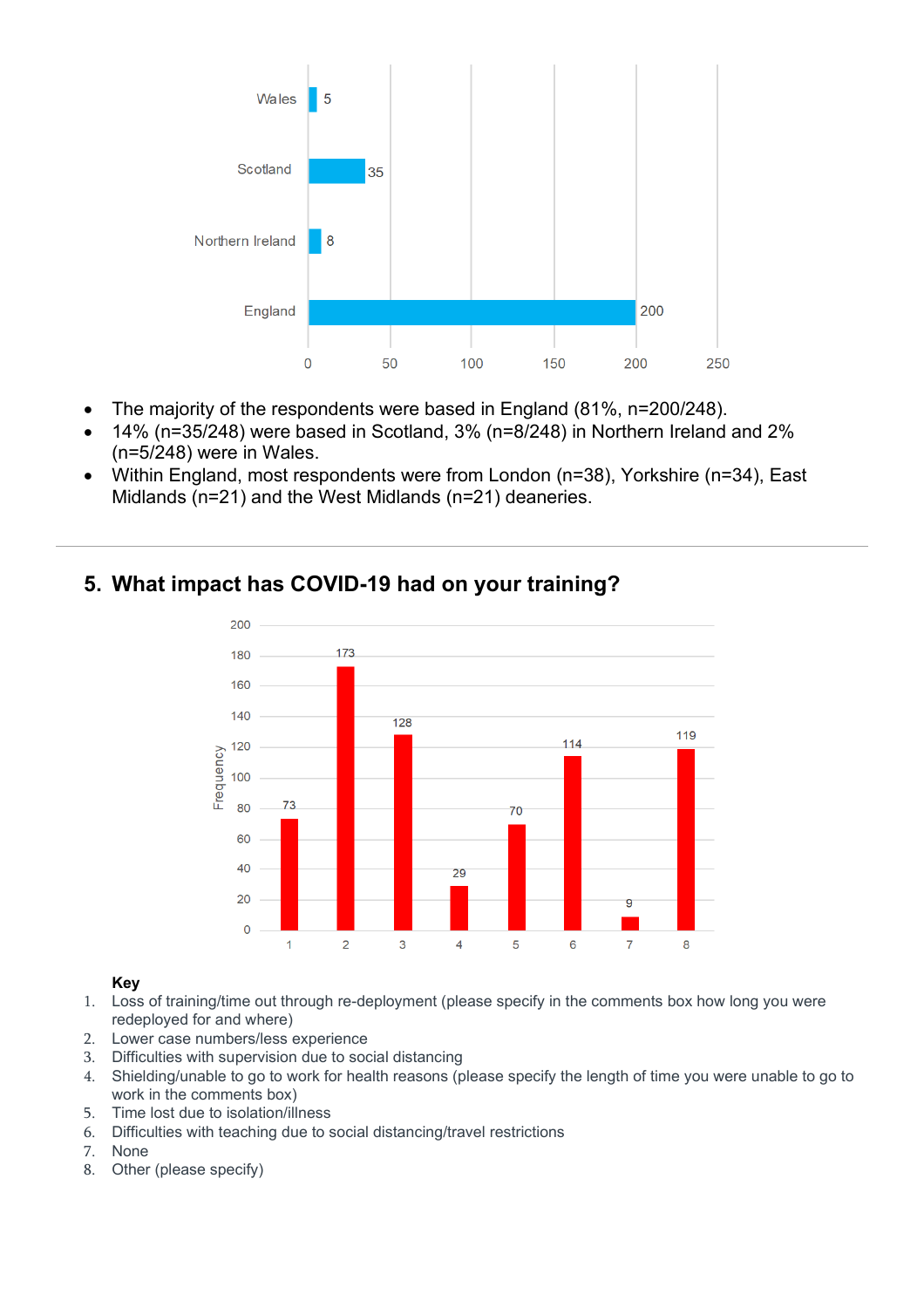

- The majority of the respondents were based in England (81%, n=200/248).
- 14% (n=35/248) were based in Scotland, 3% (n=8/248) in Northern Ireland and 2% (n=5/248) were in Wales.
- Within England, most respondents were from London (n=38), Yorkshire (n=34), East Midlands (n=21) and the West Midlands (n=21) deaneries.



# **5. What impact has COVID-19 had on your training?**

### **Key**

- 1. Loss of training/time out through re-deployment (please specify in the comments box how long you were redeployed for and where)
- 2. Lower case numbers/less experience
- 3. Difficulties with supervision due to social distancing
- 4. Shielding/unable to go to work for health reasons (please specify the length of time you were unable to go to work in the comments box)
- 5. Time lost due to isolation/illness
- 6. Difficulties with teaching due to social distancing/travel restrictions
- 7. None
- 8. Other (please specify)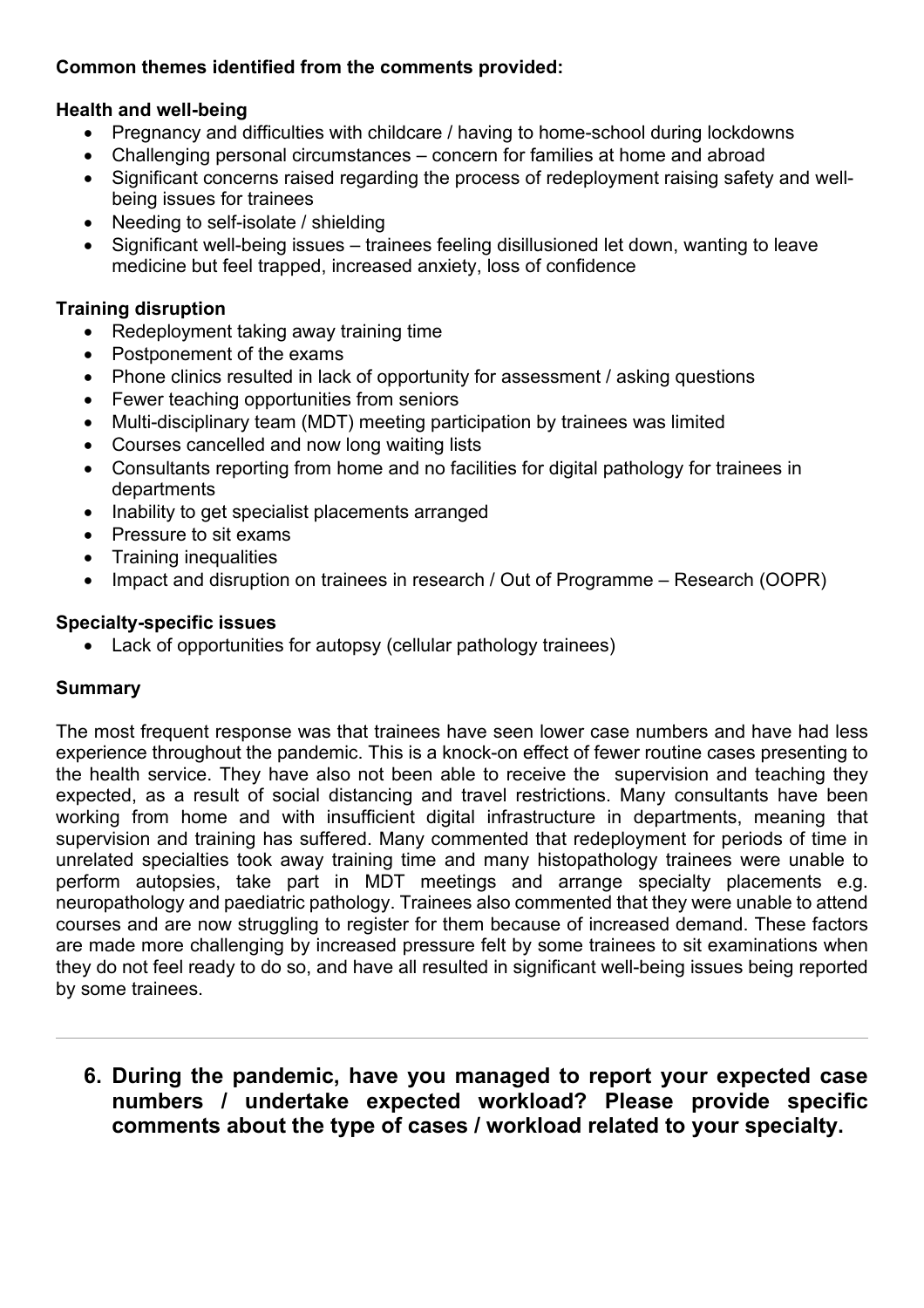### **Health and well-being**

- Pregnancy and difficulties with childcare / having to home-school during lockdowns
- Challenging personal circumstances concern for families at home and abroad
- Significant concerns raised regarding the process of redeployment raising safety and wellbeing issues for trainees
- Needing to self-isolate / shielding
- Significant well-being issues trainees feeling disillusioned let down, wanting to leave medicine but feel trapped, increased anxiety, loss of confidence

### **Training disruption**

- Redeployment taking away training time
- Postponement of the exams
- Phone clinics resulted in lack of opportunity for assessment / asking questions
- Fewer teaching opportunities from seniors
- Multi-disciplinary team (MDT) meeting participation by trainees was limited
- Courses cancelled and now long waiting lists
- Consultants reporting from home and no facilities for digital pathology for trainees in departments
- Inability to get specialist placements arranged
- Pressure to sit exams
- Training inequalities
- Impact and disruption on trainees in research / Out of Programme Research (OOPR)

### **Specialty-specific issues**

• Lack of opportunities for autopsy (cellular pathology trainees)

### **Summary**

The most frequent response was that trainees have seen lower case numbers and have had less experience throughout the pandemic. This is a knock-on effect of fewer routine cases presenting to the health service. They have also not been able to receive the supervision and teaching they expected, as a result of social distancing and travel restrictions. Many consultants have been working from home and with insufficient digital infrastructure in departments, meaning that supervision and training has suffered. Many commented that redeployment for periods of time in unrelated specialties took away training time and many histopathology trainees were unable to perform autopsies, take part in MDT meetings and arrange specialty placements e.g. neuropathology and paediatric pathology. Trainees also commented that they were unable to attend courses and are now struggling to register for them because of increased demand. These factors are made more challenging by increased pressure felt by some trainees to sit examinations when they do not feel ready to do so, and have all resulted in significant well-being issues being reported by some trainees.

**6. During the pandemic, have you managed to report your expected case numbers / undertake expected workload? Please provide specific comments about the type of cases / workload related to your specialty.**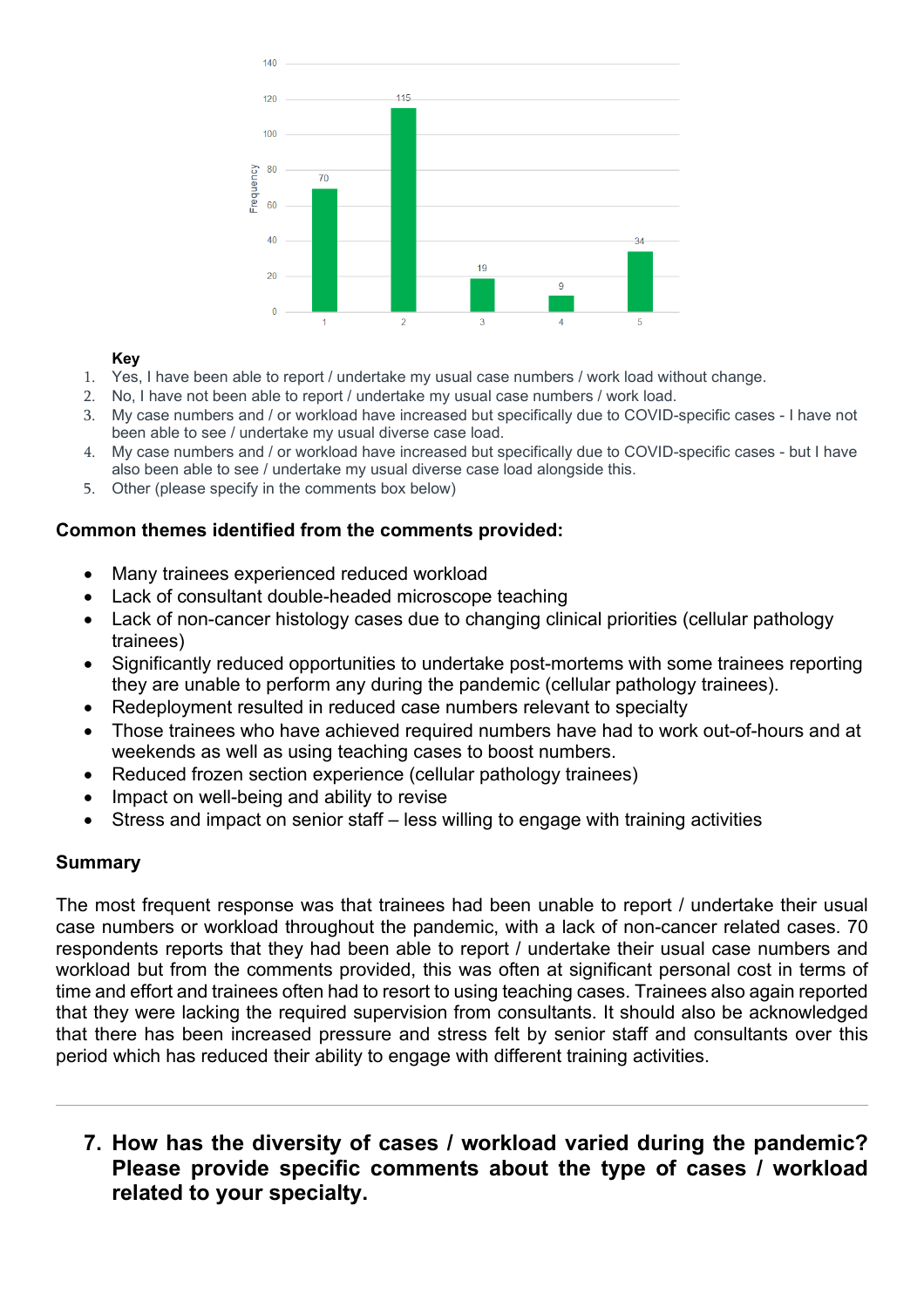

#### **Key**

- 1. Yes, I have been able to report / undertake my usual case numbers / work load without change.
- 2. No, I have not been able to report / undertake my usual case numbers / work load.
- 3. My case numbers and / or workload have increased but specifically due to COVID-specific cases I have not been able to see / undertake my usual diverse case load.
- 4. My case numbers and / or workload have increased but specifically due to COVID-specific cases but I have also been able to see / undertake my usual diverse case load alongside this.
- 5. Other (please specify in the comments box below)

#### **Common themes identified from the comments provided:**

- Many trainees experienced reduced workload
- Lack of consultant double-headed microscope teaching
- Lack of non-cancer histology cases due to changing clinical priorities (cellular pathology trainees)
- Significantly reduced opportunities to undertake post-mortems with some trainees reporting they are unable to perform any during the pandemic (cellular pathology trainees).
- Redeployment resulted in reduced case numbers relevant to specialty
- Those trainees who have achieved required numbers have had to work out-of-hours and at weekends as well as using teaching cases to boost numbers.
- Reduced frozen section experience (cellular pathology trainees)
- Impact on well-being and ability to revise
- Stress and impact on senior staff less willing to engage with training activities

#### **Summary**

The most frequent response was that trainees had been unable to report / undertake their usual case numbers or workload throughout the pandemic, with a lack of non-cancer related cases. 70 respondents reports that they had been able to report / undertake their usual case numbers and workload but from the comments provided, this was often at significant personal cost in terms of time and effort and trainees often had to resort to using teaching cases. Trainees also again reported that they were lacking the required supervision from consultants. It should also be acknowledged that there has been increased pressure and stress felt by senior staff and consultants over this period which has reduced their ability to engage with different training activities.

# **7. How has the diversity of cases / workload varied during the pandemic? Please provide specific comments about the type of cases / workload related to your specialty.**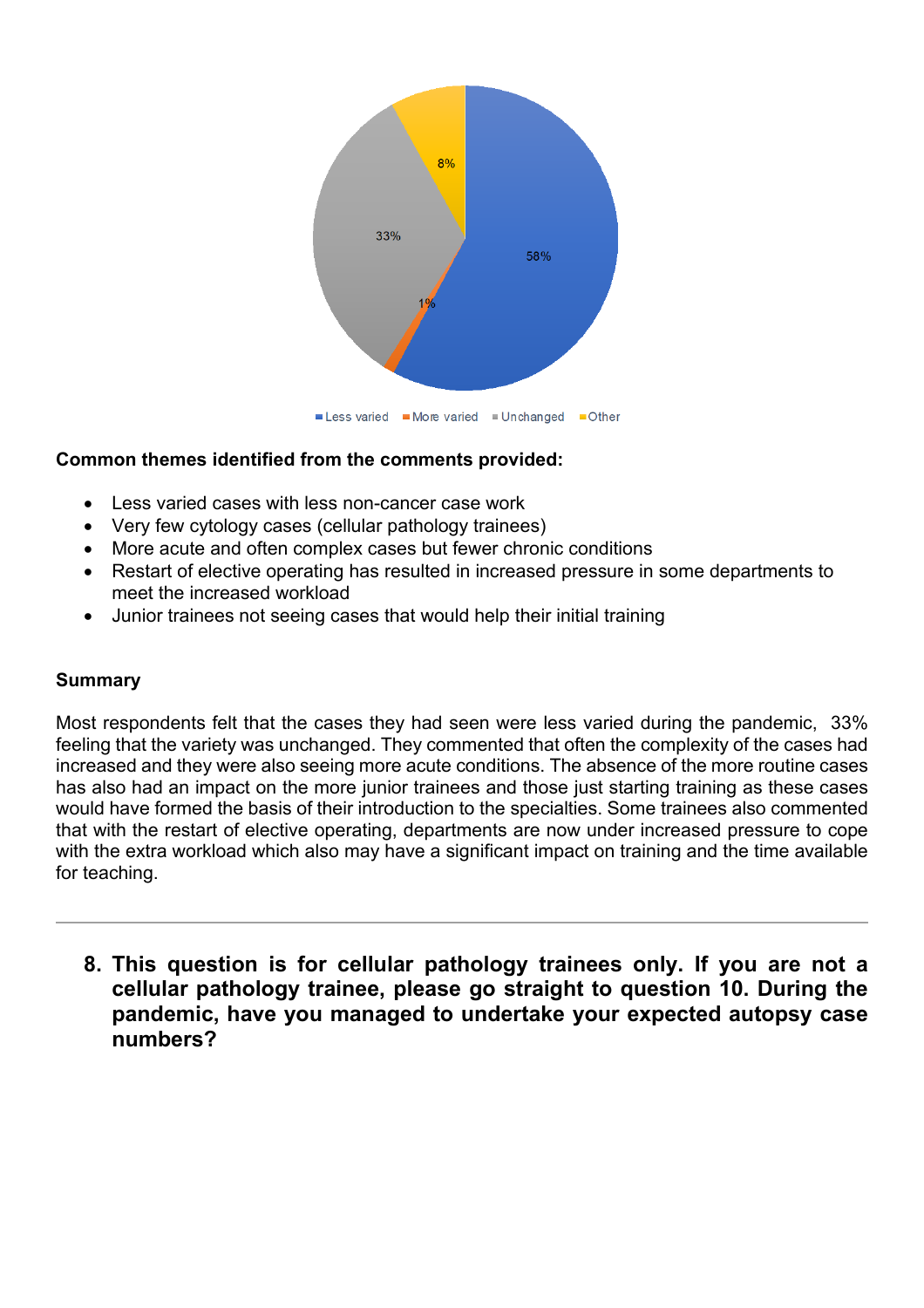

- Less varied cases with less non-cancer case work
- Very few cytology cases (cellular pathology trainees)
- More acute and often complex cases but fewer chronic conditions
- Restart of elective operating has resulted in increased pressure in some departments to meet the increased workload
- Junior trainees not seeing cases that would help their initial training

# **Summary**

Most respondents felt that the cases they had seen were less varied during the pandemic, 33% feeling that the variety was unchanged. They commented that often the complexity of the cases had increased and they were also seeing more acute conditions. The absence of the more routine cases has also had an impact on the more junior trainees and those just starting training as these cases would have formed the basis of their introduction to the specialties. Some trainees also commented that with the restart of elective operating, departments are now under increased pressure to cope with the extra workload which also may have a significant impact on training and the time available for teaching.

**8. This question is for cellular pathology trainees only. If you are not a cellular pathology trainee, please go straight to question 10. During the pandemic, have you managed to undertake your expected autopsy case numbers?**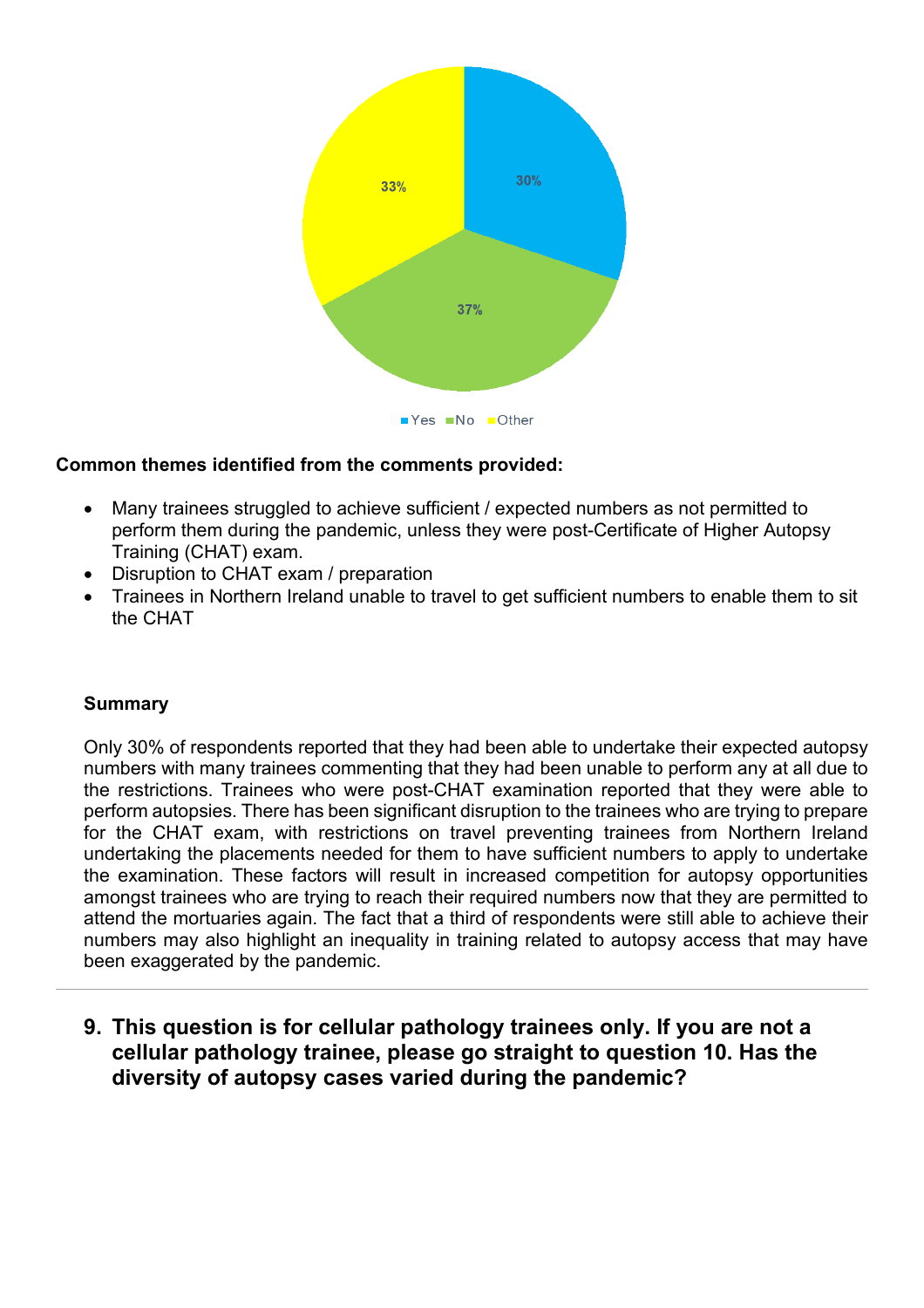

- Many trainees struggled to achieve sufficient / expected numbers as not permitted to perform them during the pandemic, unless they were post-Certificate of Higher Autopsy Training (CHAT) exam.
- Disruption to CHAT exam / preparation
- Trainees in Northern Ireland unable to travel to get sufficient numbers to enable them to sit the CHAT

#### **Summary**

Only 30% of respondents reported that they had been able to undertake their expected autopsy numbers with many trainees commenting that they had been unable to perform any at all due to the restrictions. Trainees who were post-CHAT examination reported that they were able to perform autopsies. There has been significant disruption to the trainees who are trying to prepare for the CHAT exam, with restrictions on travel preventing trainees from Northern Ireland undertaking the placements needed for them to have sufficient numbers to apply to undertake the examination. These factors will result in increased competition for autopsy opportunities amongst trainees who are trying to reach their required numbers now that they are permitted to attend the mortuaries again. The fact that a third of respondents were still able to achieve their numbers may also highlight an inequality in training related to autopsy access that may have been exaggerated by the pandemic.

**9. This question is for cellular pathology trainees only. If you are not a cellular pathology trainee, please go straight to question 10. Has the diversity of autopsy cases varied during the pandemic?**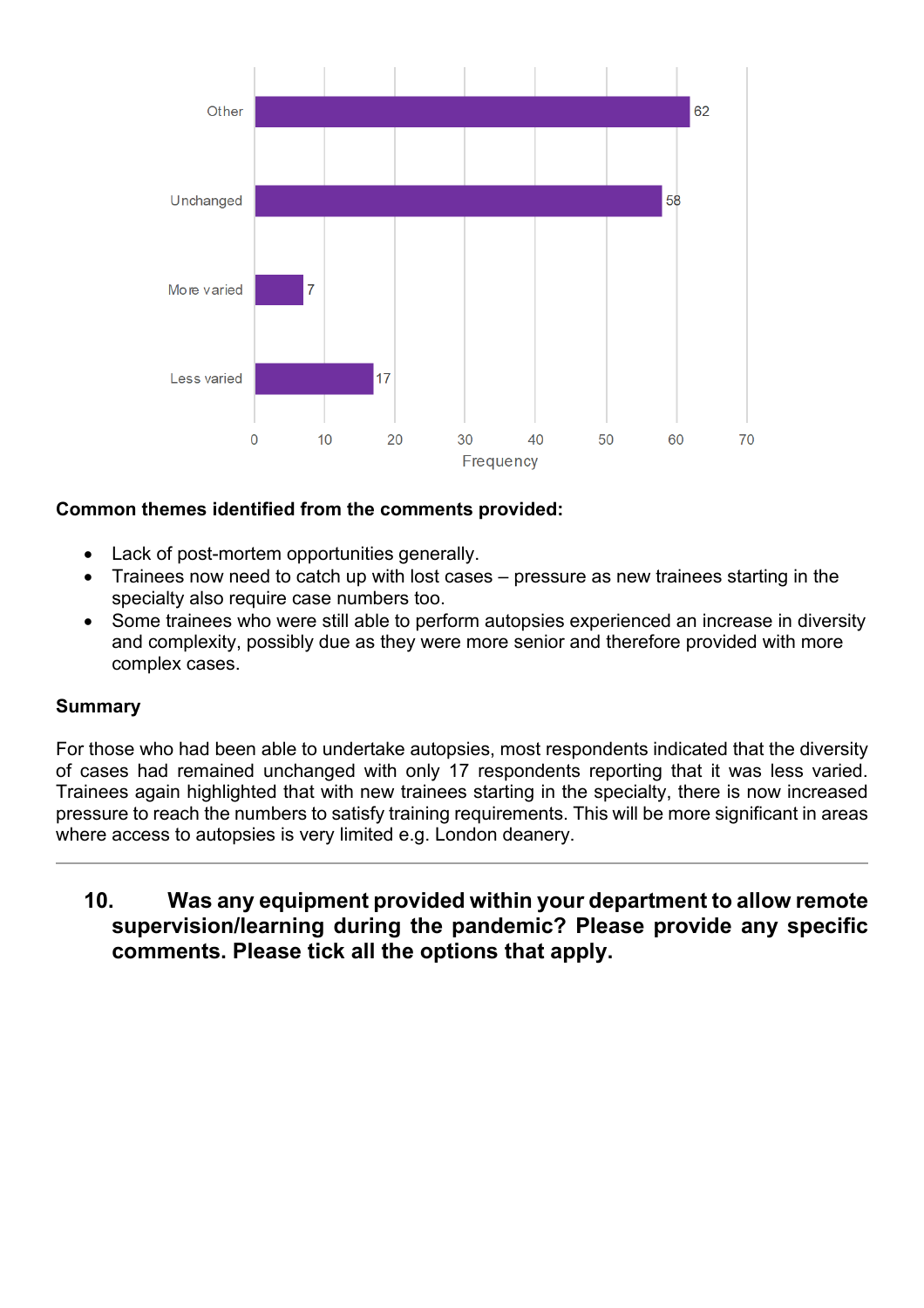

- Lack of post-mortem opportunities generally.
- Trainees now need to catch up with lost cases pressure as new trainees starting in the specialty also require case numbers too.
- Some trainees who were still able to perform autopsies experienced an increase in diversity and complexity, possibly due as they were more senior and therefore provided with more complex cases.

### **Summary**

For those who had been able to undertake autopsies, most respondents indicated that the diversity of cases had remained unchanged with only 17 respondents reporting that it was less varied. Trainees again highlighted that with new trainees starting in the specialty, there is now increased pressure to reach the numbers to satisfy training requirements. This will be more significant in areas where access to autopsies is very limited e.g. London deanery.

**10. Was any equipment provided within your department to allow remote supervision/learning during the pandemic? Please provide any specific comments. Please tick all the options that apply.**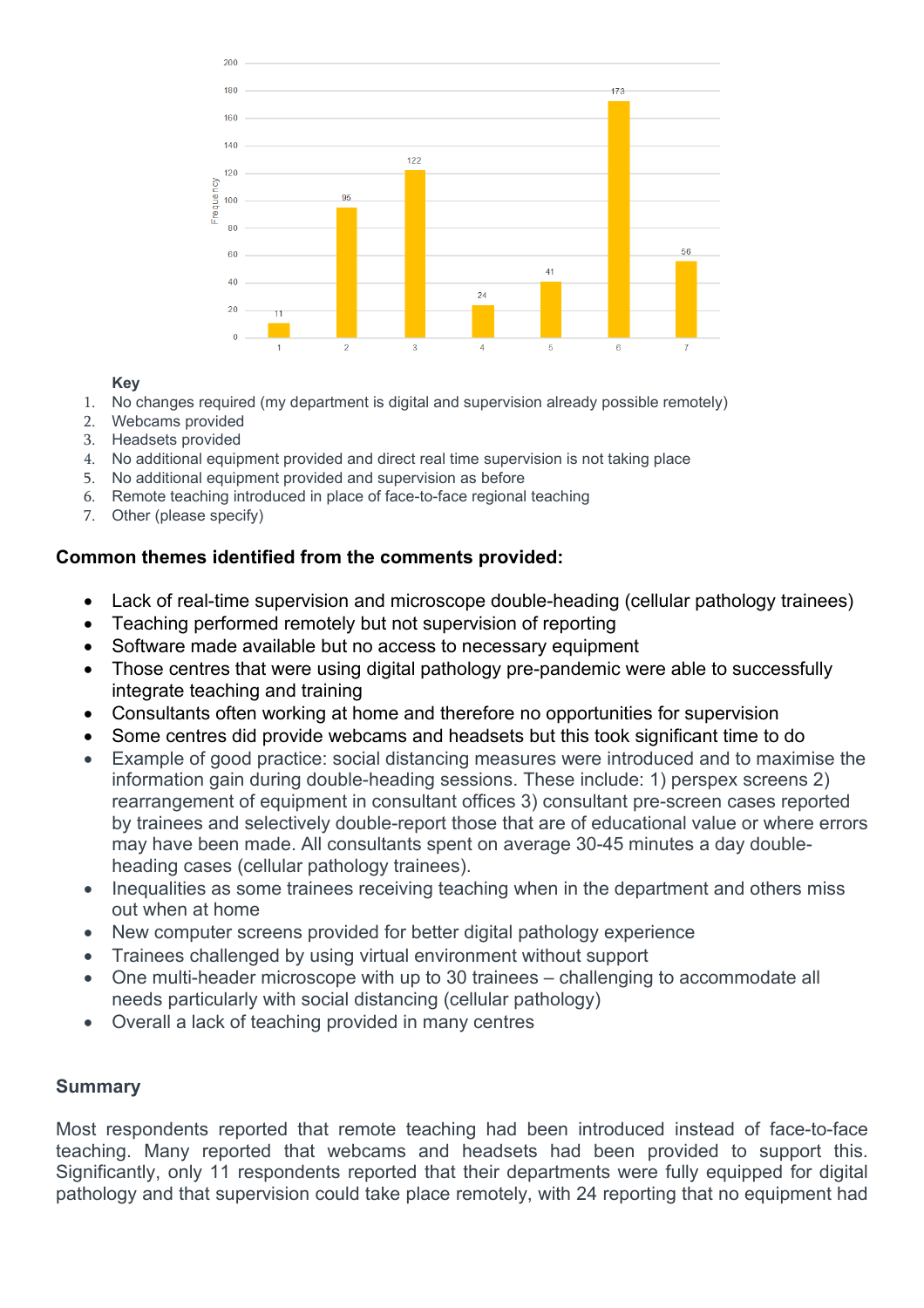

#### **Key**

- 1. No changes required (my department is digital and supervision already possible remotely)
- 2. Webcams provided
- 3. Headsets provided
- 4. No additional equipment provided and direct real time supervision is not taking place
- 5. No additional equipment provided and supervision as before
- 6. Remote teaching introduced in place of face-to-face regional teaching
- 7. Other (please specify)

### **Common themes identified from the comments provided:**

- Lack of real-time supervision and microscope double-heading (cellular pathology trainees)
- Teaching performed remotely but not supervision of reporting
- Software made available but no access to necessary equipment
- Those centres that were using digital pathology pre-pandemic were able to successfully integrate teaching and training
- Consultants often working at home and therefore no opportunities for supervision
- Some centres did provide webcams and headsets but this took significant time to do
- Example of good practice: social distancing measures were introduced and to maximise the information gain during double-heading sessions. These include: 1) perspex screens 2) rearrangement of equipment in consultant offices 3) consultant pre-screen cases reported by trainees and selectively double-report those that are of educational value or where errors may have been made. All consultants spent on average 30-45 minutes a day doubleheading cases (cellular pathology trainees).
- Inequalities as some trainees receiving teaching when in the department and others miss out when at home
- New computer screens provided for better digital pathology experience
- Trainees challenged by using virtual environment without support
- One multi-header microscope with up to 30 trainees challenging to accommodate all needs particularly with social distancing (cellular pathology)
- Overall a lack of teaching provided in many centres

### **Summary**

Most respondents reported that remote teaching had been introduced instead of face-to-face teaching. Many reported that webcams and headsets had been provided to support this. Significantly, only 11 respondents reported that their departments were fully equipped for digital pathology and that supervision could take place remotely, with 24 reporting that no equipment had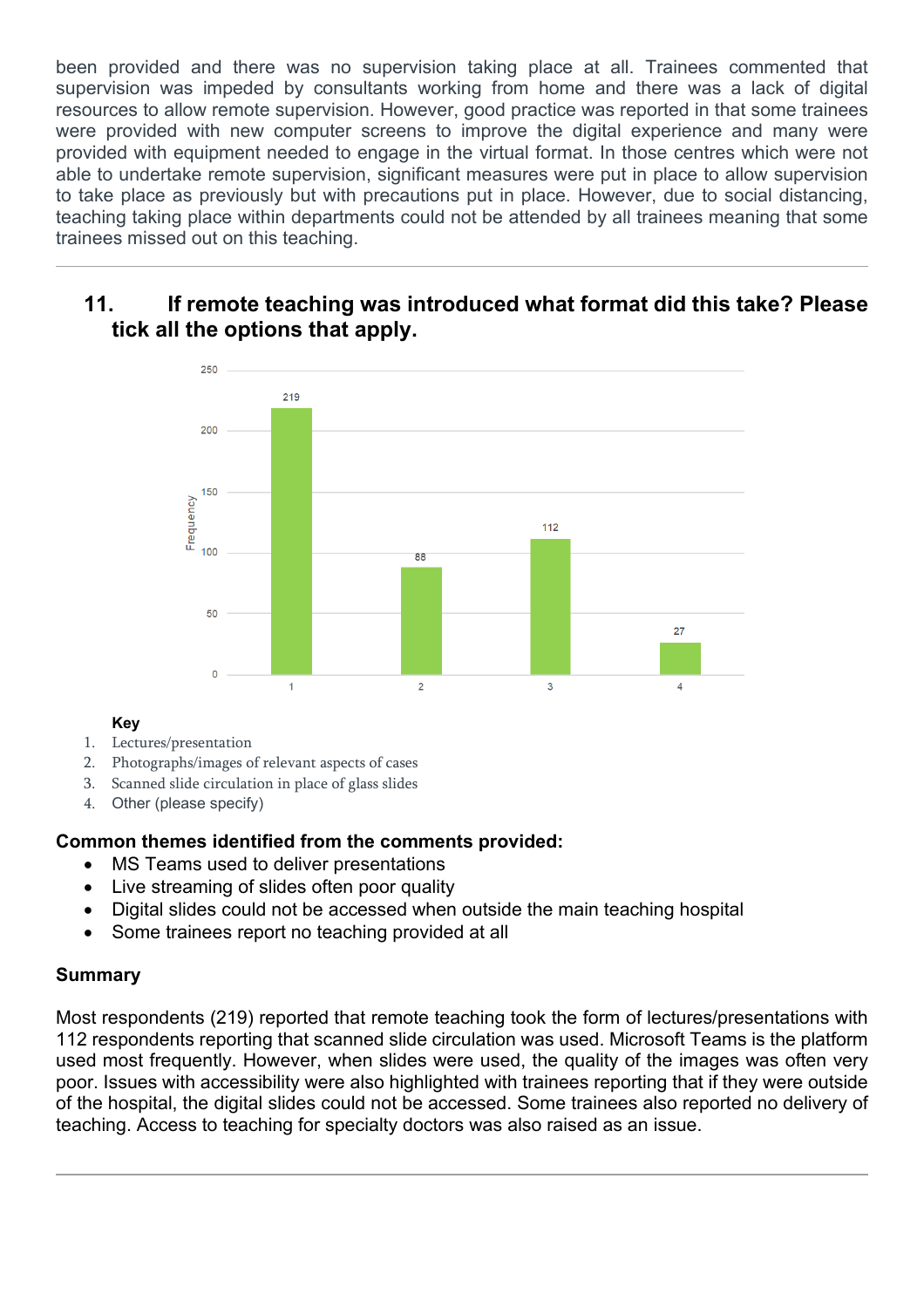been provided and there was no supervision taking place at all. Trainees commented that supervision was impeded by consultants working from home and there was a lack of digital resources to allow remote supervision. However, good practice was reported in that some trainees were provided with new computer screens to improve the digital experience and many were provided with equipment needed to engage in the virtual format. In those centres which were not able to undertake remote supervision, significant measures were put in place to allow supervision to take place as previously but with precautions put in place. However, due to social distancing, teaching taking place within departments could not be attended by all trainees meaning that some trainees missed out on this teaching.

# **11. If remote teaching was introduced what format did this take? Please tick all the options that apply.**



### **Key**

- 1. Lectures/presentation
- 2. Photographs/images of relevant aspects of cases
- 3. Scanned slide circulation in place of glass slides
- 4. Other (please specify)

### **Common themes identified from the comments provided:**

- MS Teams used to deliver presentations
- Live streaming of slides often poor quality
- Digital slides could not be accessed when outside the main teaching hospital
- Some trainees report no teaching provided at all

### **Summary**

Most respondents (219) reported that remote teaching took the form of lectures/presentations with 112 respondents reporting that scanned slide circulation was used. Microsoft Teams is the platform used most frequently. However, when slides were used, the quality of the images was often very poor. Issues with accessibility were also highlighted with trainees reporting that if they were outside of the hospital, the digital slides could not be accessed. Some trainees also reported no delivery of teaching. Access to teaching for specialty doctors was also raised as an issue.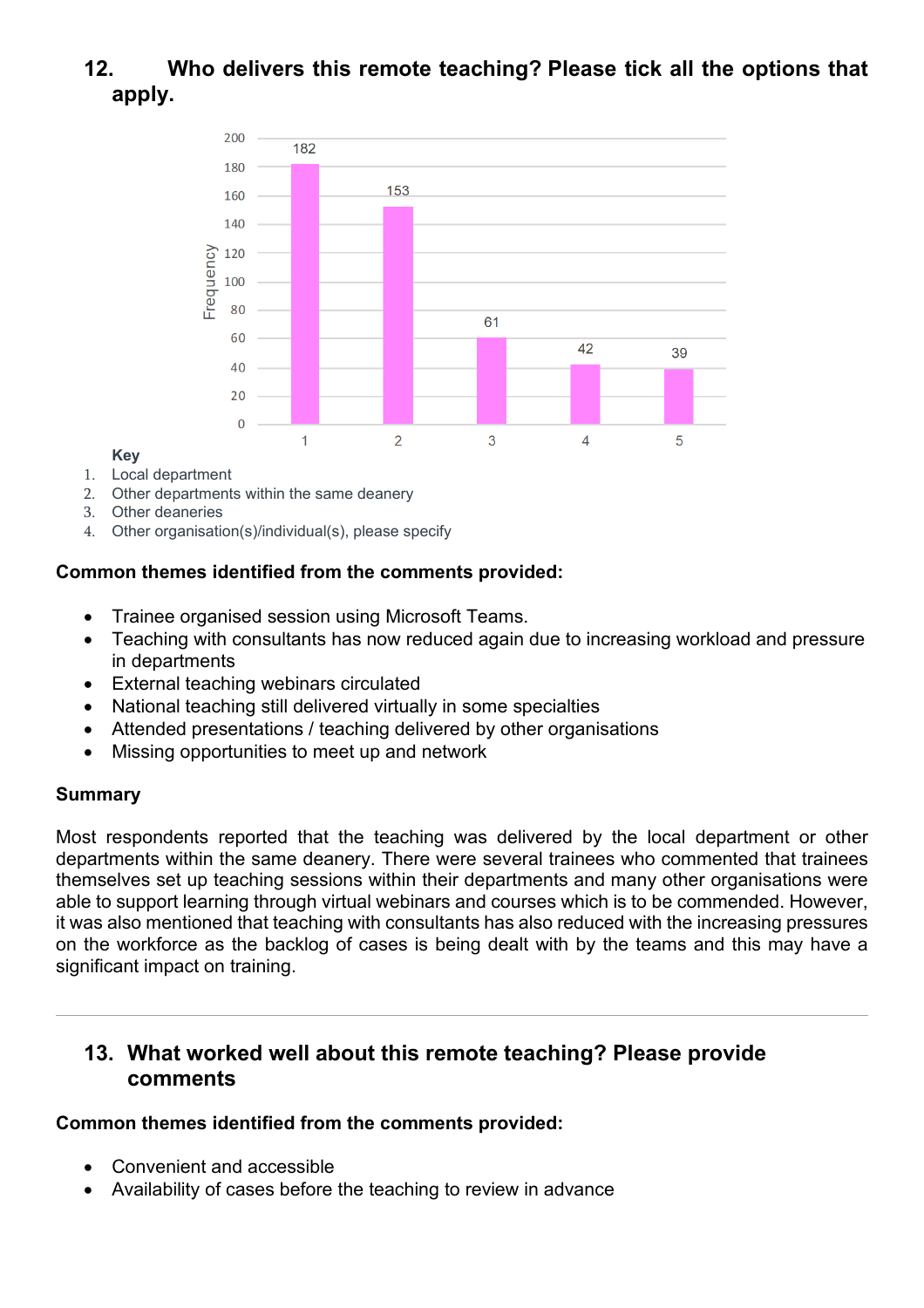# **12. Who delivers this remote teaching? Please tick all the options that apply.**



#### **Key**

- 1. Local department
- 2. Other departments within the same deanery
- 3. Other deaneries
- 4. Other organisation(s)/individual(s), please specify

## **Common themes identified from the comments provided:**

- Trainee organised session using Microsoft Teams.
- Teaching with consultants has now reduced again due to increasing workload and pressure in departments
- External teaching webinars circulated
- National teaching still delivered virtually in some specialties
- Attended presentations / teaching delivered by other organisations
- Missing opportunities to meet up and network

### **Summary**

Most respondents reported that the teaching was delivered by the local department or other departments within the same deanery. There were several trainees who commented that trainees themselves set up teaching sessions within their departments and many other organisations were able to support learning through virtual webinars and courses which is to be commended. However, it was also mentioned that teaching with consultants has also reduced with the increasing pressures on the workforce as the backlog of cases is being dealt with by the teams and this may have a significant impact on training.

# **13. What worked well about this remote teaching? Please provide comments**

### **Common themes identified from the comments provided:**

- Convenient and accessible
- Availability of cases before the teaching to review in advance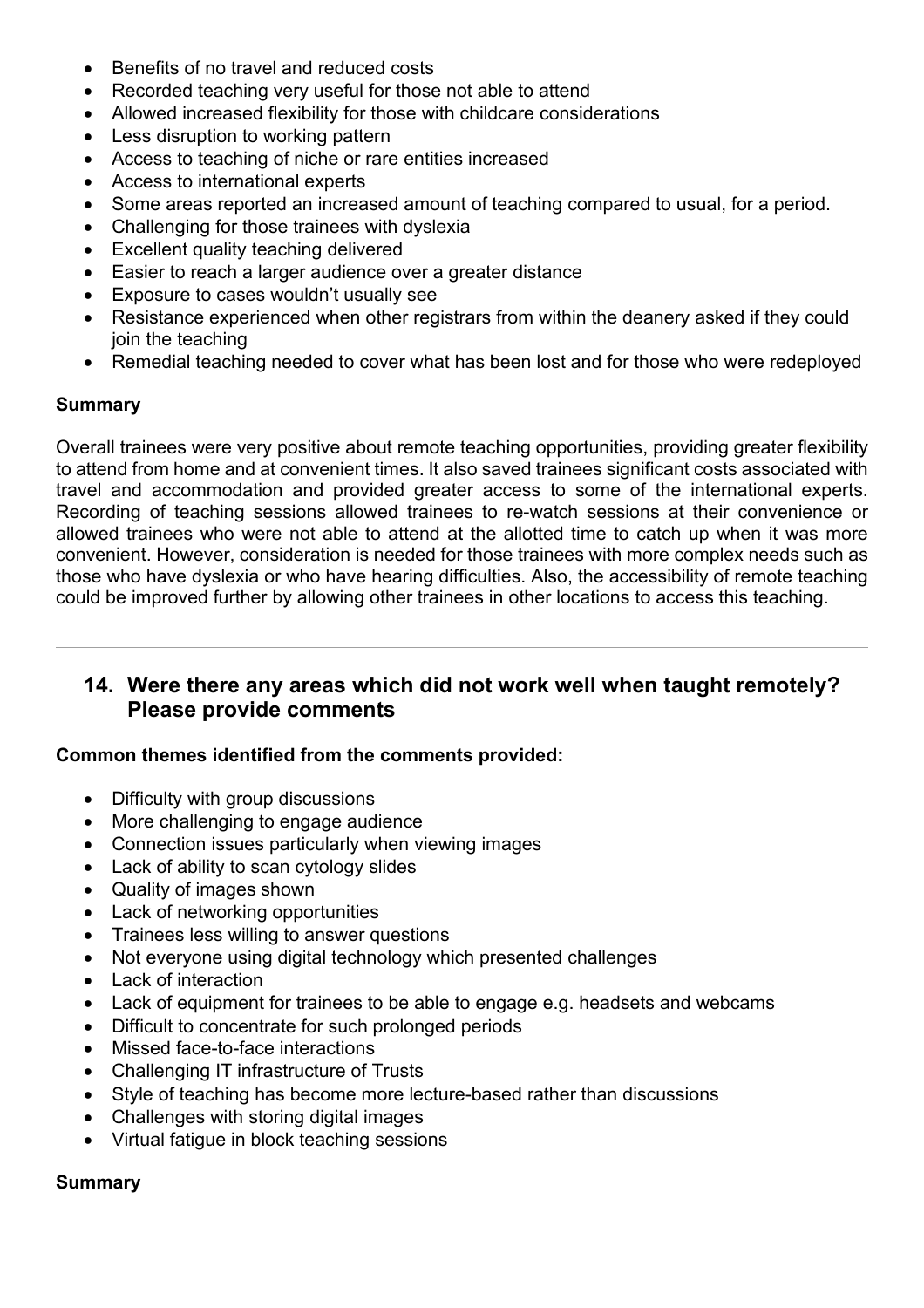- Benefits of no travel and reduced costs
- Recorded teaching very useful for those not able to attend
- Allowed increased flexibility for those with childcare considerations
- Less disruption to working pattern
- Access to teaching of niche or rare entities increased
- Access to international experts
- Some areas reported an increased amount of teaching compared to usual, for a period.
- Challenging for those trainees with dyslexia
- Excellent quality teaching delivered
- Easier to reach a larger audience over a greater distance
- Exposure to cases wouldn't usually see
- Resistance experienced when other registrars from within the deanery asked if they could join the teaching
- Remedial teaching needed to cover what has been lost and for those who were redeployed

### **Summary**

Overall trainees were very positive about remote teaching opportunities, providing greater flexibility to attend from home and at convenient times. It also saved trainees significant costs associated with travel and accommodation and provided greater access to some of the international experts. Recording of teaching sessions allowed trainees to re-watch sessions at their convenience or allowed trainees who were not able to attend at the allotted time to catch up when it was more convenient. However, consideration is needed for those trainees with more complex needs such as those who have dyslexia or who have hearing difficulties. Also, the accessibility of remote teaching could be improved further by allowing other trainees in other locations to access this teaching.

# **14. Were there any areas which did not work well when taught remotely? Please provide comments**

#### **Common themes identified from the comments provided:**

- Difficulty with group discussions
- More challenging to engage audience
- Connection issues particularly when viewing images
- Lack of ability to scan cytology slides
- Quality of images shown
- Lack of networking opportunities
- Trainees less willing to answer questions
- Not everyone using digital technology which presented challenges
- Lack of interaction
- Lack of equipment for trainees to be able to engage e.g. headsets and webcams
- Difficult to concentrate for such prolonged periods
- Missed face-to-face interactions
- Challenging IT infrastructure of Trusts
- Style of teaching has become more lecture-based rather than discussions
- Challenges with storing digital images
- Virtual fatigue in block teaching sessions

# **Summary**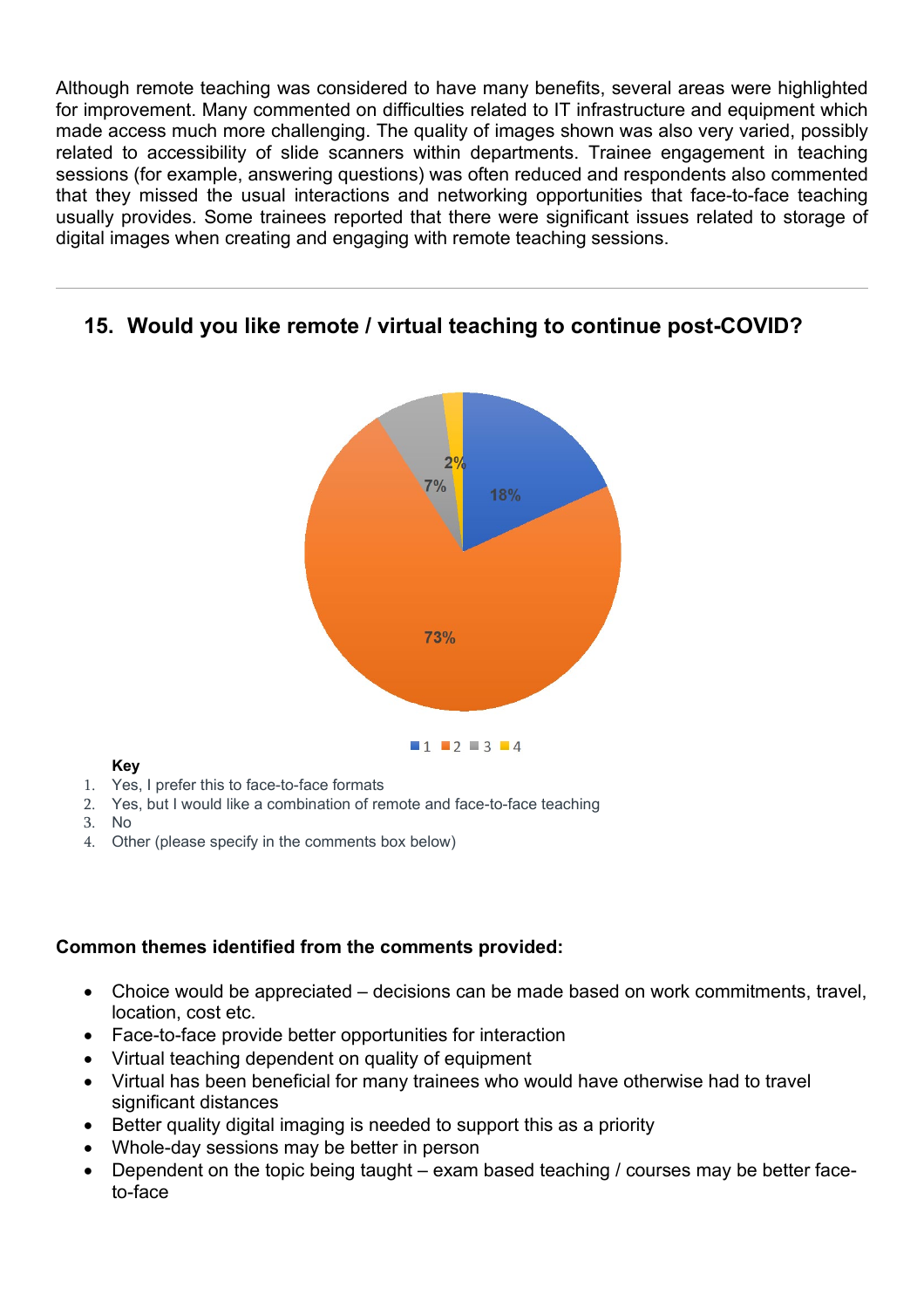Although remote teaching was considered to have many benefits, several areas were highlighted for improvement. Many commented on difficulties related to IT infrastructure and equipment which made access much more challenging. The quality of images shown was also very varied, possibly related to accessibility of slide scanners within departments. Trainee engagement in teaching sessions (for example, answering questions) was often reduced and respondents also commented that they missed the usual interactions and networking opportunities that face-to-face teaching usually provides. Some trainees reported that there were significant issues related to storage of digital images when creating and engaging with remote teaching sessions.

# **15. Would you like remote / virtual teaching to continue post-COVID?**



#### **Key**

- 1. Yes, I prefer this to face-to-face formats
- 2. Yes, but I would like a combination of remote and face-to-face teaching
- 3. No
- 4. Other (please specify in the comments box below)

### **Common themes identified from the comments provided:**

- Choice would be appreciated decisions can be made based on work commitments, travel, location, cost etc.
- Face-to-face provide better opportunities for interaction
- Virtual teaching dependent on quality of equipment
- Virtual has been beneficial for many trainees who would have otherwise had to travel significant distances
- Better quality digital imaging is needed to support this as a priority
- Whole-day sessions may be better in person
- Dependent on the topic being taught exam based teaching / courses may be better faceto-face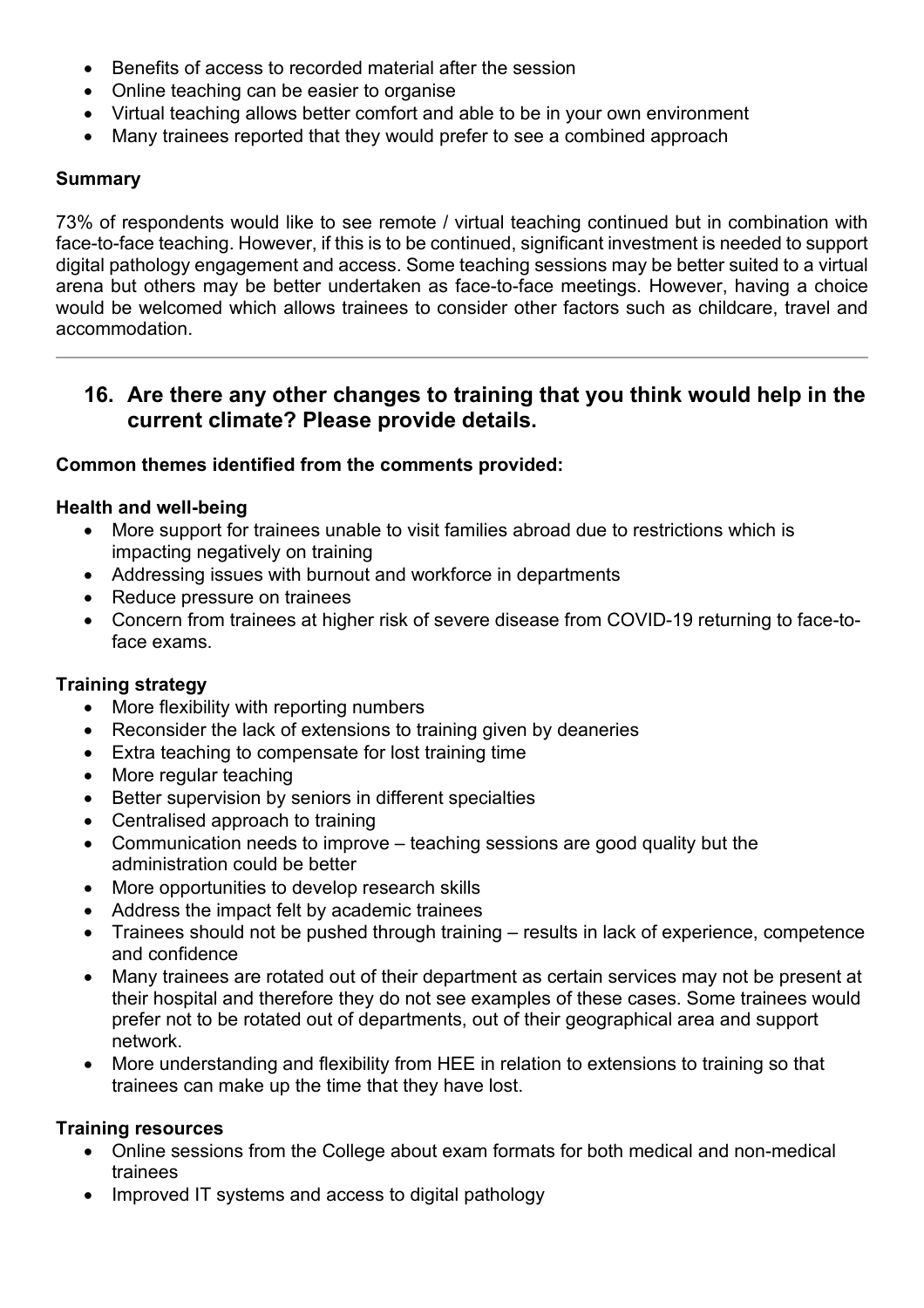- Benefits of access to recorded material after the session
- Online teaching can be easier to organise
- Virtual teaching allows better comfort and able to be in your own environment
- Many trainees reported that they would prefer to see a combined approach

### **Summary**

73% of respondents would like to see remote / virtual teaching continued but in combination with face-to-face teaching. However, if this is to be continued, significant investment is needed to support digital pathology engagement and access. Some teaching sessions may be better suited to a virtual arena but others may be better undertaken as face-to-face meetings. However, having a choice would be welcomed which allows trainees to consider other factors such as childcare, travel and accommodation.

# **16. Are there any other changes to training that you think would help in the current climate? Please provide details.**

### **Common themes identified from the comments provided:**

### **Health and well-being**

- More support for trainees unable to visit families abroad due to restrictions which is impacting negatively on training
- Addressing issues with burnout and workforce in departments
- Reduce pressure on trainees
- Concern from trainees at higher risk of severe disease from COVID-19 returning to face-toface exams.

### **Training strategy**

- More flexibility with reporting numbers
- Reconsider the lack of extensions to training given by deaneries
- Extra teaching to compensate for lost training time
- More regular teaching
- Better supervision by seniors in different specialties
- Centralised approach to training
- Communication needs to improve teaching sessions are good quality but the administration could be better
- More opportunities to develop research skills
- Address the impact felt by academic trainees
- Trainees should not be pushed through training results in lack of experience, competence and confidence
- Many trainees are rotated out of their department as certain services may not be present at their hospital and therefore they do not see examples of these cases. Some trainees would prefer not to be rotated out of departments, out of their geographical area and support network.
- More understanding and flexibility from HEE in relation to extensions to training so that trainees can make up the time that they have lost.

### **Training resources**

- Online sessions from the College about exam formats for both medical and non-medical trainees
- Improved IT systems and access to digital pathology